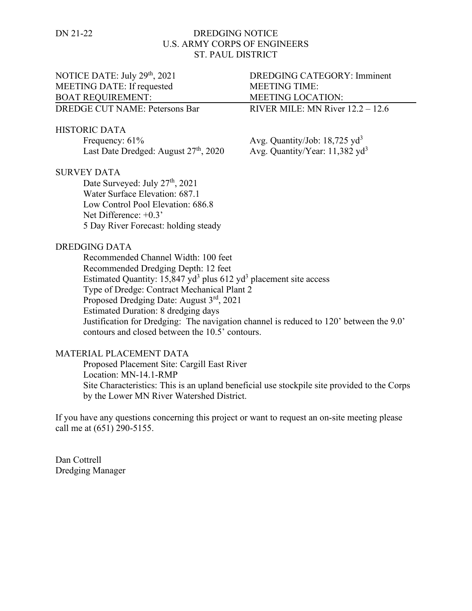## DN 21-22 DREDGING NOTICE U.S. ARMY CORPS OF ENGINEERS ST. PAUL DISTRICT

| NOTICE DATE: July 29th, 2021                                                                  | <b>DREDGING CATEGORY: Imminent</b>         |
|-----------------------------------------------------------------------------------------------|--------------------------------------------|
| <b>MEETING DATE: If requested</b>                                                             | <b>MEETING TIME:</b>                       |
| <b>BOAT REQUIREMENT:</b>                                                                      | <b>MEETING LOCATION:</b>                   |
| <b>DREDGE CUT NAME: Petersons Bar</b>                                                         | RIVER MILE: MN River $12.2 - 12.6$         |
| <b>HISTORIC DATA</b>                                                                          |                                            |
| Frequency: $61\%$                                                                             | Avg. Quantity/Job: $18,725 \text{ yd}^3$   |
| Last Date Dredged: August 27 <sup>th</sup> , 2020                                             | Avg. Quantity/Year: 11,382 yd <sup>3</sup> |
| <b>SURVEY DATA</b>                                                                            |                                            |
| Date Surveyed: July 27 <sup>th</sup> , 2021                                                   |                                            |
| Water Surface Elevation: 687.1                                                                |                                            |
| Low Control Pool Elevation: 686.8                                                             |                                            |
| Net Difference: $+0.3$ '                                                                      |                                            |
| 5 Day River Forecast: holding steady                                                          |                                            |
| <b>DREDGING DATA</b>                                                                          |                                            |
| Recommended Channel Width: 100 feet                                                           |                                            |
| Recommended Dredging Depth: 12 feet                                                           |                                            |
| Estimated Quantity: $15,847$ yd <sup>3</sup> plus $612$ yd <sup>3</sup> placement site access |                                            |
| Type of Dredge: Contract Mechanical Plant 2                                                   |                                            |
| Proposed Dredging Date: August 3rd, 2021                                                      |                                            |
| <b>Estimated Duration: 8 dredging days</b>                                                    |                                            |
| Justification for Dredging: The navigation channel is reduced to 120' between the 9.0'        |                                            |
| contours and closed between the 10.5' contours.                                               |                                            |

## MATERIAL PLACEMENT DATA

Proposed Placement Site: Cargill East River Location: MN-14.1-RMP Site Characteristics: This is an upland beneficial use stockpile site provided to the Corps by the Lower MN River Watershed District.

If you have any questions concerning this project or want to request an on-site meeting please call me at (651) 290-5155.

Dan Cottrell Dredging Manager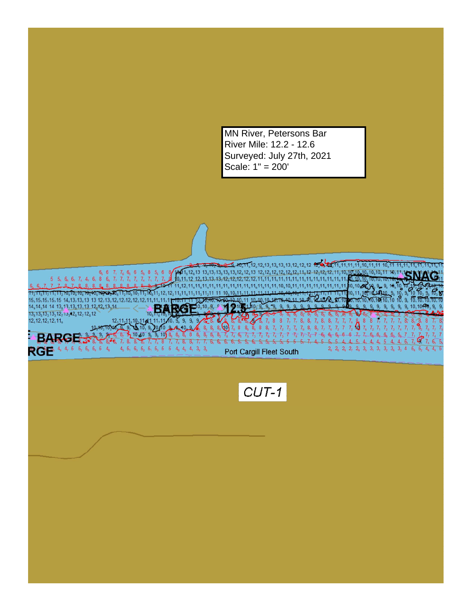